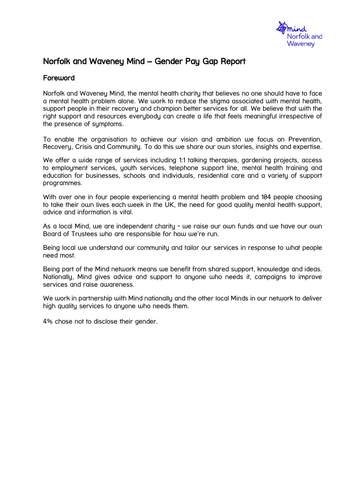

# Norfolk and Waveney Mind – Gender Pay Gap Report

### Foreword

Norfolk and Waveney Mind, the mental health charity that believes no one should have to face a mental health problem alone. We work to reduce the stigma associated with mental health, support people in their recovery and champion better services for all. We believe that with the right support and resources everybody can create a life that feels meaningful irrespective of the presence of symptoms.

To enable the organisation to achieve our vision and ambition we focus on Prevention, Recovery, Crisis and Community. To do this we share our own stories, insights and expertise.

We offer a wide range of services including 1:1 talking therapies, gardening projects, access to employment services, youth services, telephone support line, mental health training and education for businesses, schools and individuals, residential care and a variety of support programmes.

With over one in four people experiencing a mental health problem and 104 people choosing to take their own lives each week in the UK, the need for good quality mental health support, advice and information is vital.

As a local Mind, we are independent charity - we raise our own funds and we have our own Board of Trustees who are responsible for how we're run.

Being local we understand our community and tailor our services in response to what people need most.

Being part of the Mind network means we benefit from shared support, knowledge and ideas. Nationally, Mind gives advice and support to anyone who needs it, campaigns to improve services and raise awareness.

We work in partnership with Mind nationally and the other local Minds in our network to deliver high quality services to anyone who needs them.

4% chose not to disclose their gender.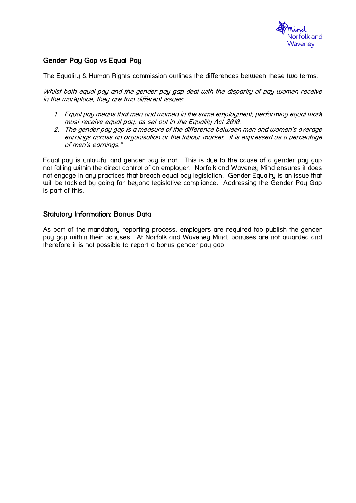

## Gender Pay Gap vs Equal Pay

The Equality & Human Rights commission outlines the differences between these two terms:

Whilst both equal pay and the gender pay gap deal with the disparity of pay women receive in the workplace, they are two different issues:

- 1. Equal pay means that men and women in the same employment, performing equal work must receive equal pay, as set out in the Equality Act 2010.
- 2. The gender pay gap is a measure of the difference between men and women's average earnings across an organisation or the labour market. It is expressed as a percentage of men's earnings."

Equal pay is unlawful and gender pay is not. This is due to the cause of a gender pay gap not falling within the direct control of an employer. Norfolk and Waveney Mind ensures it does not engage in any practices that breach equal pay legislation. Gender Equality is an issue that will be tackled by going far beyond legislative compliance. Addressing the Gender Pay Gap is part of this.

### Statutory Information: Bonus Data

As part of the mandatory reporting process, employers are required top publish the gender pay gap within their bonuses. At Norfolk and Waveney Mind, bonuses are not awarded and therefore it is not possible to report a bonus gender pay gap.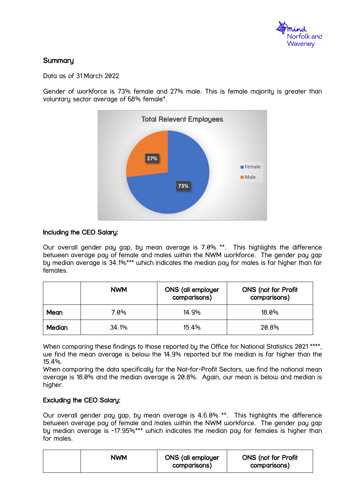

# **Summary**

Data as of 31 March 2022

Gender of workforce is 73% female and 27% male. This is female majority is greater than voluntary sector average of 68% female\*.



### Including the CEO Salary:

Our overall gender pay gap, by mean average is 7.0% \*\*. This highlights the difference between average pay of female and males within the NWM workforce. The gender pay gap by median average is 34.1%\*\*\* which indicates the median pay for males is far higher than for females.

|             | <b>NWM</b> | <b>ONS</b> (all employer<br>comparisons) | <b>ONS</b> (not for Profit<br>comparisons) |
|-------------|------------|------------------------------------------|--------------------------------------------|
| <b>Mean</b> | 7.0%       | 14.9%                                    | $18.0\%$                                   |
| Median      | 34.1%      | 15.4%                                    | 20.8%                                      |

When comparing these findings to those reported by the Office for National Statistics 2021<sup>\*\*\*\*</sup>, we find the mean average is below the 14.9% reported but the median is far higher than the 15.4%.

When comparing the data specifically for the Not-for-Profit Sectors, we find the national mean average is 18.0% and the median average is 20.8%. Again, our mean is below and median is higher.

### Excluding the CEO Salary:

Our overall gender pay gap, by mean average is 4.6.0% \*\*. This highlights the difference between average pay of female and males within the NWM workforce. The gender pay gap by median average is -17.95%\*\*\* which indicates the median pay for females is higher than for males.

| NWM | <b>ONS (all employer</b><br>comparisons) | <b>ONS</b> (not for Profit<br>comparisons) |
|-----|------------------------------------------|--------------------------------------------|
|-----|------------------------------------------|--------------------------------------------|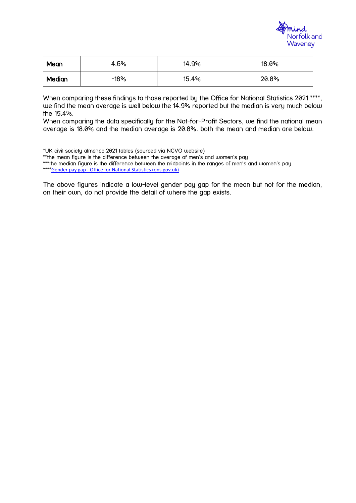

| Mean   | 4.6%   | 14.9% | 18.0% |
|--------|--------|-------|-------|
| Median | $-18%$ | 15.4% | 20.8% |

When comparing these findings to those reported by the Office for National Statistics 2021<sup>\*\*\*\*</sup>, we find the mean average is well below the 14.9% reported but the median is very much below the 15.4%.

When comparing the data specifically for the Not-for-Profit Sectors, we find the national mean average is 18.0% and the median average is 20.8%. both the mean and median are below.

\*UK civil society almanac 2021 tables (sourced via NCVO website)

\*\*the mean figure is the difference between the average of men's and women's pay

\*\*\*the median figure is the difference between the midpoints in the ranges of men's and women's pay \*\*\*\*Gender pay gap - [Office for National Statistics \(ons.gov.uk\)](https://www.ons.gov.uk/employmentandlabourmarket/peopleinwork/earningsandworkinghours/datasets/annualsurveyofhoursandearningsashegenderpaygaptables)

The above figures indicate a low-level gender pay gap for the mean but not for the median, on their own, do not provide the detail of where the gap exists.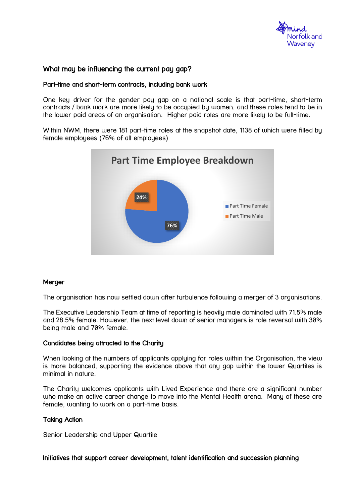

### What may be influencing the current pay gap?

### Part-time and short-term contracts, including bank work

One key driver for the gender pay gap on a national scale is that part-time, short-term contracts / bank work are more likely to be occupied by women, and these roles tend to be in the lower paid areas of an organisation. Higher paid roles are more likely to be full-time.

Within NWM, there were 181 part-time roles at the snapshot date, 1138 of which were filled by female employees (76% of all employees)



#### Merger

The organisation has now settled down after turbulence following a merger of 3 organisations.

The Executive Leadership Team at time of reporting is heavily male dominated with 71.5% male and 28.5% female. However, the next level down of senior managers is role reversal with 30% being male and 70% female.

#### Candidates being attracted to the Charity

When looking at the numbers of applicants applying for roles within the Organisation, the view is more balanced, supporting the evidence above that any gap within the lower Quartiles is minimal in nature.

The Charity welcomes applicants with Lived Experience and there are a significant number who make an active career change to move into the Mental Health arena. Many of these are female, wanting to work on a part-time basis.

#### Taking Action

Senior Leadership and Upper Quartile

Initiatives that support career development, talent identification and succession planning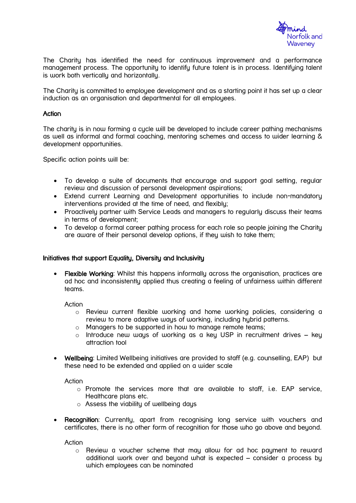

The Charity has identified the need for continuous improvement and a performance management process. The opportunity to identify future talent is in process. Identifying talent is work both vertically and horizontally.

The Charity is committed to employee development and as a starting point it has set up a clear induction as an organisation and departmental for all employees.

### **Action**

The charity is in now forming a cycle will be developed to include career pathing mechanisms as well as informal and formal coaching, mentoring schemes and access to wider learning & development opportunities.

Specific action points will be:

- To develop a suite of documents that encourage and support goal setting, regular review and discussion of personal development aspirations;
- Extend current Learning and Development opportunities to include non-mandatory interventions provided at the time of need, and flexibly;
- Proactively partner with Service Leads and managers to regularly discuss their teams in terms of development;
- To develop a formal career pathing process for each role so people joining the Charity are aware of their personal develop options, if they wish to take them;

#### Initiatives that support Equality, Diversity and Inclusivity

• Flexible Working: Whilst this happens informally across the organisation, practices are ad hoc and inconsistently applied thus creating a feeling of unfairness within different teams.

Action

- $\circ$  Review current flexible working and home working policies, considering a review to more adaptive ways of working, including hybrid patterns.
- o Managers to be supported in how to manage remote teams;
- $\circ$  Introduce new ways of working as a key USP in recruitment drives key attraction tool
- Wellbeing: Limited Wellbeing initiatives are provided to staff (e.g. counselling, EAP) but these need to be extended and applied on a wider scale

**Action** 

- o Promote the services more that are available to staff, i.e. EAP service, Healthcare plans etc.
- o Assess the viability of wellbeing days
- **Recognition:** Currently, apart from recognising long service with vouchers and certificates, there is no other form of recognition for those who go above and beyond.

**Action** 

o Review a voucher scheme that may allow for ad hoc payment to reward additional work over and beyond what is expected – consider a process by which employees can be nominated